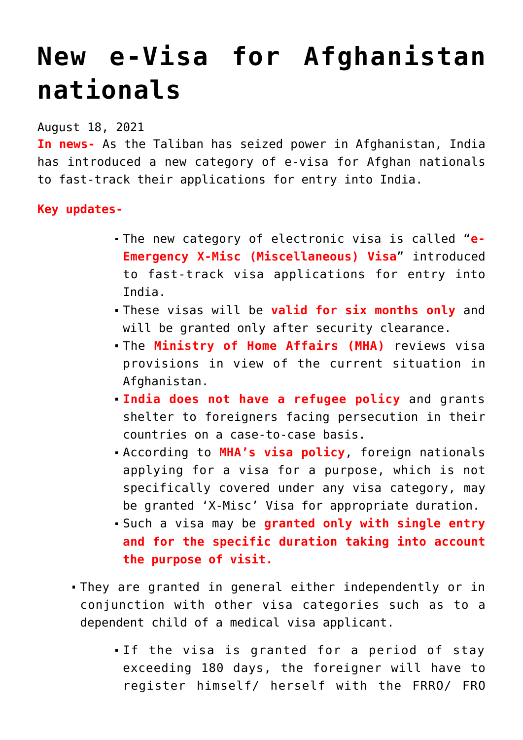## **[New e-Visa for Afghanistan](https://journalsofindia.com/new-e-visa-for-afghanistan-nationals/) [nationals](https://journalsofindia.com/new-e-visa-for-afghanistan-nationals/)**

August 18, 2021

**In news-** As the Taliban has seized power in Afghanistan, India has introduced a new category of e-visa for Afghan nationals to fast-track their applications for entry into India.

## **Key updates-**

- The new category of electronic visa is called "**e-Emergency X-Misc (Miscellaneous) Visa**" introduced to fast-track visa applications for entry into India.
- These visas will be **valid for six months only** and will be granted only after security clearance.
- The **Ministry of Home Affairs (MHA)** reviews visa provisions in view of the current situation in Afghanistan.
- **India does not have a refugee policy** and grants shelter to foreigners facing persecution in their countries on a case-to-case basis.
- According to **MHA's visa policy**, foreign nationals applying for a visa for a purpose, which is not specifically covered under any visa category, may be granted 'X-Misc' Visa for appropriate duration.
- Such a visa may be **granted only with single entry and for the specific duration taking into account the purpose of visit.**
- They are granted in general either independently or in conjunction with other visa categories such as to a dependent child of a medical visa applicant.
	- If the visa is granted for a period of stay exceeding 180 days, the foreigner will have to register himself/ herself with the FRRO/ FRO